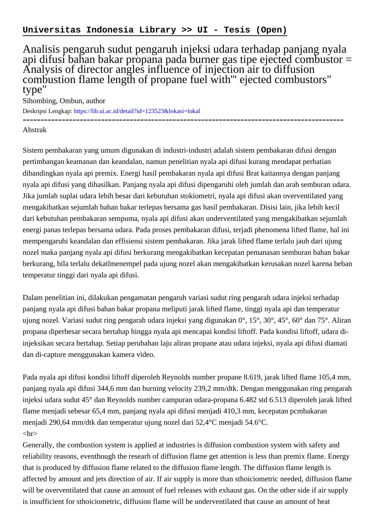Analisis pengaruh sudut pengaruh injeksi udara terhadap panjang nyala api difusi bahan bakar propana pada burner gas tipe ejected combustor = Analysis of director angles influence of injection air to diffusion combustion flame length of propane fuel with''' ejected combustors" type"

Sihombing, Ombun, author

Deskripsi Lengkap:<https://lib.ui.ac.id/detail?id=123523&lokasi=lokal> ------------------------------------------------------------------------------------------

Abstrak

Sistem pembakaran yang umum digunakan di industri-industri adalah sistem pembakaran difusi dengan pertimbangan keamanan dan keandalan, namun penelitian nyala api difusi kurang mendapat perhatian dibandingkan nyala api premix. Energi hasil pembakaran nyala api difusi Brat kaitannya dengan panjang nyala api difusi yang dihasilkan. Panjang nyala api difusi dipengaruhi oleh jumlah dan arah semburan udara. Jika jumlah suplai udara lebih besar dari kebutuhan stokiometri, nyala api difusi akan overventilated yang mengakibatkan sejumlah bahan bakar terlepas bersama gas hasil pembakaran. Disisi lain, jika lebih kecil dari kebutuhan pembakaran sempuma, nyala api difusi akan underventilated yang mengakibatkan sejumlah energi panas terlepas bersama udara. Pada proses pembakaran difusi, terjadi phenomena lifted flame, hal ini mempengaruhi keandalan dan effisiensi sistem pembakaran. Jika jarak lifted flame terlalu jauh dari ujung nozel maka panjang nyala api difusi berkurang mengakibatkan kecepatan pemanasan semburan bahan bakar berkurang, bila terlalu dekatlmenempel pada ujung nozel akan mengakibatkan kerusakan nozel karena beban temperatur tinggi dari nyala api difusi.

Dalam penelitian ini, dilakukan pengamatan pengaruh variasi sudut ring pengarah udara injeksi terhadap panjang nyala api difusi bahan bakar propana meliputi jarak lifted flame, tinggi nyala api dan temperatur ujung nozel. Variasi sudut ring pengarah udara injeksi yang digunakan 0°, 15°, 30°, 45°, 60° dan 75°. Aliran propana diperbesar secara bertahap hingga nyala api mencapai kondisi liftoff. Pada kondisi liftoff, udara diinjeksikan secara bertahap. Setiap perubahan laju aliran propane atau udara injeksi, nyala api difusi diamati dan di-capture menggunakan kamera video.

Pada nyala api difusi kondisi liftoff diperoleh Reynolds number propane 8.619, jarak lifted flame 105,4 mm, panjang nyala api difusi 344,6 mm dan burning velocity 239,2 mm/dtk. Dengan menggunakan ring pengarah injeksi udara sudut 45° dan Reynolds number campuran udara-propana 6.482 std 6.513 diperoleh jarak lifted flame menjadi sebesar 65,4 mm, panjang nyala api difusi menjadi 410,3 mm, kecepatan pcmbakaran menjadi 290,64 mm/dtk dan temperatur ujung nozel dari 52,4°C menjadi 54.6°C.  $\langle$ hr $>$ 

Generally, the combustion system is applied at industries is diffusion combustion system with safety and reliability reasons, eventhough the researh of diffusion flame get attention is less than premix flame. Energy that is produced by diffusion flame related to the diffusion flame length. The diffusion flame length is affected by amount and jets direction of air. If air supply is more than sthoiciometric needed, diffusion flame will be overventilated that cause an amount of fuel releases with exhaust gas. On the other side if air supply is insufficient for sthoiciometric, diffusion flame will be underventilated that cause an amount of heat